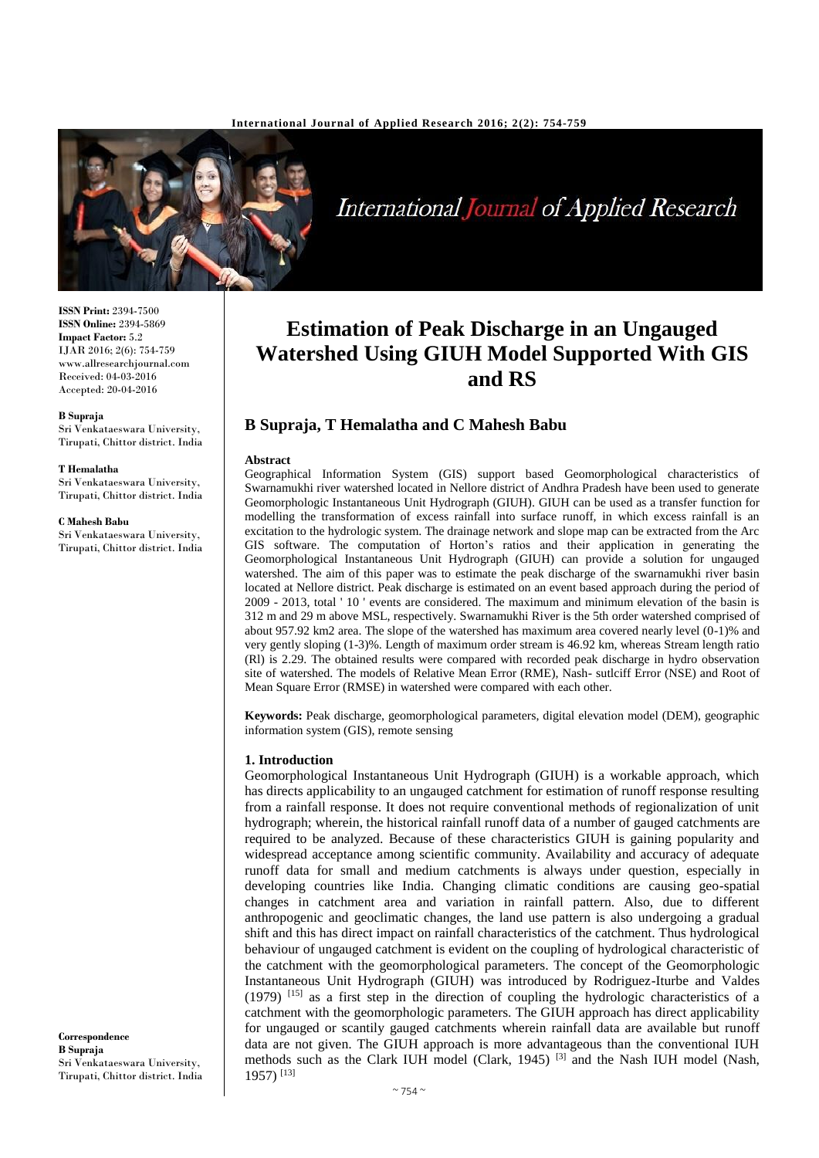

**International Journal of Applied Research** 

# **Estimation of Peak Discharge in an Ungauged Watershed Using GIUH Model Supported With GIS and RS**

# **B Supraja, T Hemalatha and C Mahesh Babu**

#### **Abstract**

Geographical Information System (GIS) support based Geomorphological characteristics of Swarnamukhi river watershed located in Nellore district of Andhra Pradesh have been used to generate Geomorphologic Instantaneous Unit Hydrograph (GIUH). GIUH can be used as a transfer function for modelling the transformation of excess rainfall into surface runoff, in which excess rainfall is an excitation to the hydrologic system. The drainage network and slope map can be extracted from the Arc GIS software. The computation of Horton's ratios and their application in generating the Geomorphological Instantaneous Unit Hydrograph (GIUH) can provide a solution for ungauged watershed. The aim of this paper was to estimate the peak discharge of the swarnamukhi river basin located at Nellore district. Peak discharge is estimated on an event based approach during the period of 2009 - 2013, total ' 10 ' events are considered. The maximum and minimum elevation of the basin is 312 m and 29 m above MSL, respectively. Swarnamukhi River is the 5th order watershed comprised of about 957.92 km2 area. The slope of the watershed has maximum area covered nearly level (0-1)% and very gently sloping (1-3)%. Length of maximum order stream is 46.92 km, whereas Stream length ratio (Rl) is 2.29. The obtained results were compared with recorded peak discharge in hydro observation site of watershed. The models of Relative Mean Error (RME), Nash- sutlciff Error (NSE) and Root of Mean Square Error (RMSE) in watershed were compared with each other.

**Keywords:** Peak discharge, geomorphological parameters, digital elevation model (DEM), geographic information system (GIS), remote sensing

#### **1. Introduction**

Geomorphological Instantaneous Unit Hydrograph (GIUH) is a workable approach, which has directs applicability to an ungauged catchment for estimation of runoff response resulting from a rainfall response. It does not require conventional methods of regionalization of unit hydrograph; wherein, the historical rainfall runoff data of a number of gauged catchments are required to be analyzed. Because of these characteristics GIUH is gaining popularity and widespread acceptance among scientific community. Availability and accuracy of adequate runoff data for small and medium catchments is always under question, especially in developing countries like India. Changing climatic conditions are causing geo-spatial changes in catchment area and variation in rainfall pattern. Also, due to different anthropogenic and geoclimatic changes, the land use pattern is also undergoing a gradual shift and this has direct impact on rainfall characteristics of the catchment. Thus hydrological behaviour of ungauged catchment is evident on the coupling of hydrological characteristic of the catchment with the geomorphological parameters. The concept of the Geomorphologic Instantaneous Unit Hydrograph (GIUH) was introduced by Rodriguez-Iturbe and Valdes (1979) [15] as a first step in the direction of coupling the hydrologic characteristics of a catchment with the geomorphologic parameters. The GIUH approach has direct applicability for ungauged or scantily gauged catchments wherein rainfall data are available but runoff data are not given. The GIUH approach is more advantageous than the conventional IUH methods such as the Clark IUH model (Clark, 1945)<sup>[3]</sup> and the Nash IUH model (Nash, 1957) [13]

**ISSN Print:** 2394-7500 **ISSN Online:** 2394-5869 **Impact Factor:** 5.2 IJAR 2016; 2(6): 754-759 www.allresearchjournal.com Received: 04-03-2016 Accepted: 20-04-2016

#### **B Supraja**

Sri Venkataeswara University, Tirupati, Chittor district. India

#### **T Hemalatha**

Sri Venkataeswara University, Tirupati, Chittor district. India

#### **C Mahesh Babu**

Sri Venkataeswara University, Tirupati, Chittor district. India

**Correspondence B Supraja**  Sri Venkataeswara University, Tirupati, Chittor district. India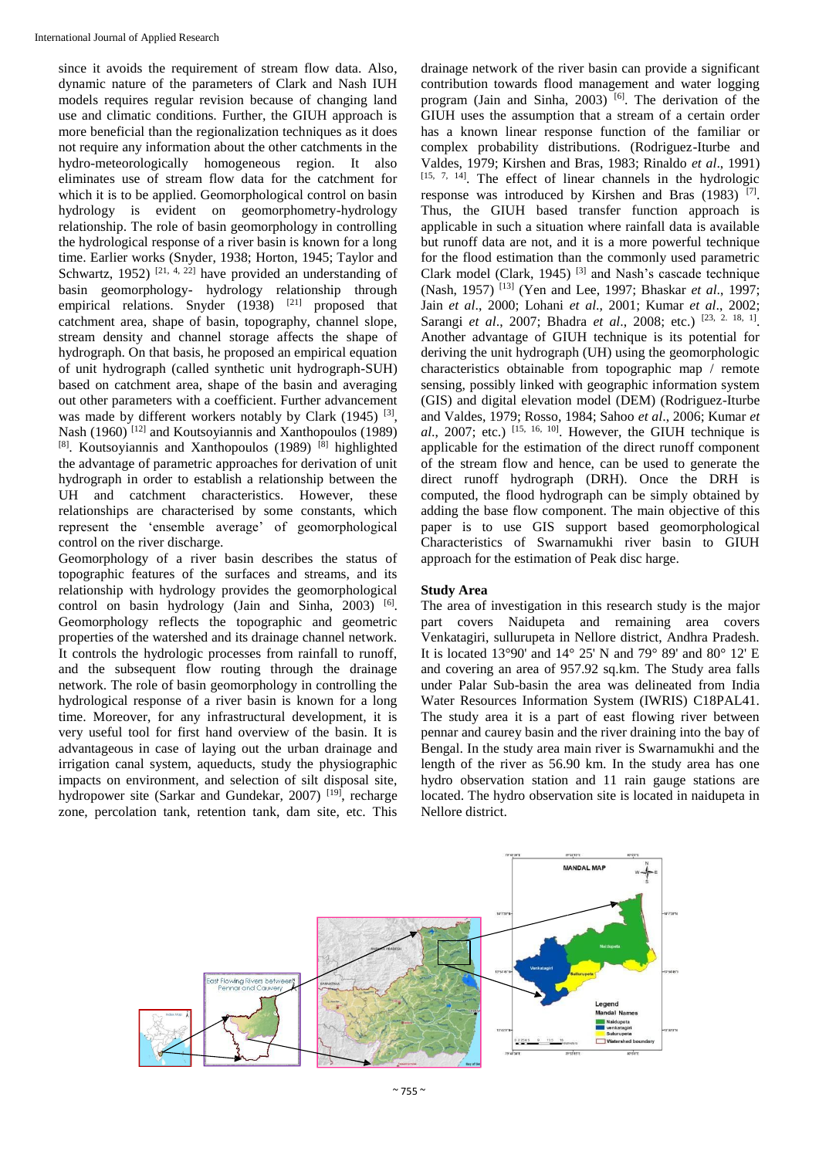since it avoids the requirement of stream flow data. Also, dynamic nature of the parameters of Clark and Nash IUH models requires regular revision because of changing land use and climatic conditions. Further, the GIUH approach is more beneficial than the regionalization techniques as it does not require any information about the other catchments in the hydro-meteorologically homogeneous region. It also eliminates use of stream flow data for the catchment for which it is to be applied. Geomorphological control on basin hydrology is evident on geomorphometry-hydrology relationship. The role of basin geomorphology in controlling the hydrological response of a river basin is known for a long time. Earlier works (Snyder, 1938; Horton, 1945; Taylor and Schwartz, 1952)  $[21, 4, 22]$  have provided an understanding of basin geomorphology- hydrology relationship through empirical relations. Snyder (1938) <sup>[21]</sup> proposed that catchment area, shape of basin, topography, channel slope, stream density and channel storage affects the shape of hydrograph. On that basis, he proposed an empirical equation of unit hydrograph (called synthetic unit hydrograph-SUH) based on catchment area, shape of the basin and averaging out other parameters with a coefficient. Further advancement was made by different workers notably by Clark (1945)<sup>[3]</sup>, Nash (1960)<sup>[12]</sup> and Koutsoyiannis and Xanthopoulos (1989) [8]. Koutsoyiannis and Xanthopoulos (1989)<sup>[8]</sup> highlighted the advantage of parametric approaches for derivation of unit hydrograph in order to establish a relationship between the UH and catchment characteristics. However, these relationships are characterised by some constants, which represent the 'ensemble average' of geomorphological control on the river discharge.

Geomorphology of a river basin describes the status of topographic features of the surfaces and streams, and its relationship with hydrology provides the geomorphological control on basin hydrology (Jain and Sinha, 2003) <sup>[6]</sup>. Geomorphology reflects the topographic and geometric properties of the watershed and its drainage channel network. It controls the hydrologic processes from rainfall to runoff, and the subsequent flow routing through the drainage network. The role of basin geomorphology in controlling the hydrological response of a river basin is known for a long time. Moreover, for any infrastructural development, it is very useful tool for first hand overview of the basin. It is advantageous in case of laying out the urban drainage and irrigation canal system, aqueducts, study the physiographic impacts on environment, and selection of silt disposal site, hydropower site (Sarkar and Gundekar, 2007)<sup>[19]</sup>, recharge zone, percolation tank, retention tank, dam site, etc. This

drainage network of the river basin can provide a significant contribution towards flood management and water logging program (Jain and Sinha, 2003)<sup>[6]</sup>. The derivation of the GIUH uses the assumption that a stream of a certain order has a known linear response function of the familiar or complex probability distributions. (Rodriguez-Iturbe and Valdes, 1979; Kirshen and Bras, 1983; Rinaldo *et al.*, 1991)<br><sup>[15, 7, 14]</sup>. The effect of linear channels in the hydrologic response was introduced by Kirshen and Bras (1983)<sup>[7]</sup>. Thus, the GIUH based transfer function approach is applicable in such a situation where rainfall data is available but runoff data are not, and it is a more powerful technique for the flood estimation than the commonly used parametric Clark model (Clark, 1945) [3] and Nash's cascade technique (Nash, 1957) [13] (Yen and Lee, 1997; Bhaskar *et al*., 1997; Jain *et al*., 2000; Lohani *et al*., 2001; Kumar *et al*., 2002; Sarangi *et al.*, 2007; Bhadra *et al.*, 2008; etc.) <sup>[23, 2. 18, 1].</sup> Another advantage of GIUH technique is its potential for deriving the unit hydrograph (UH) using the geomorphologic characteristics obtainable from topographic map / remote sensing, possibly linked with geographic information system (GIS) and digital elevation model (DEM) (Rodriguez-Iturbe and Valdes, 1979; Rosso, 1984; Sahoo *et al*., 2006; Kumar *et*   $al., 2007$ ; etc.)  $^{[15, 16, 10]}$ . However, the GIUH technique is applicable for the estimation of the direct runoff component of the stream flow and hence, can be used to generate the direct runoff hydrograph (DRH). Once the DRH is computed, the flood hydrograph can be simply obtained by adding the base flow component. The main objective of this paper is to use GIS support based geomorphological Characteristics of Swarnamukhi river basin to GIUH approach for the estimation of Peak disc harge.

## **Study Area**

The area of investigation in this research study is the major part covers Naidupeta and remaining area covers Venkatagiri, sullurupeta in Nellore district, Andhra Pradesh. It is located 13°90' and 14° 25' N and 79° 89' and 80° 12' E and covering an area of 957.92 sq.km. The Study area falls under Palar Sub-basin the area was delineated from India Water Resources Information System (IWRIS) C18PAL41. The study area it is a part of east flowing river between pennar and caurey basin and the river draining into the bay of Bengal. In the study area main river is Swarnamukhi and the length of the river as 56.90 km. In the study area has one hydro observation station and 11 rain gauge stations are located. The hydro observation site is located in naidupeta in Nellore district.

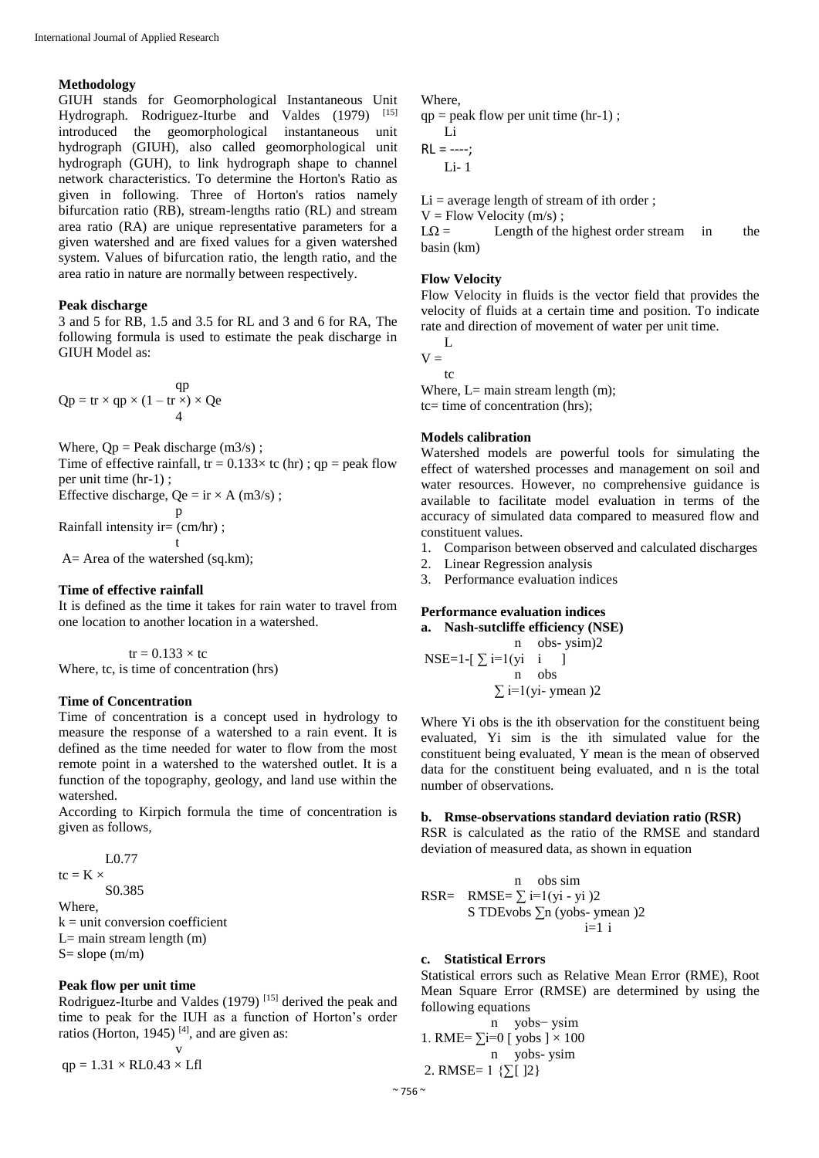#### **Methodology**

GIUH stands for Geomorphological Instantaneous Unit Hydrograph. Rodriguez-Iturbe and Valdes (1979) [15] introduced the geomorphological instantaneous unit introduced the geomorphological hydrograph (GIUH), also called geomorphological unit hydrograph (GUH), to link hydrograph shape to channel network characteristics. To determine the Horton's Ratio as given in following. Three of Horton's ratios namely bifurcation ratio (RB), stream-lengths ratio (RL) and stream area ratio (RA) are unique representative parameters for a given watershed and are fixed values for a given watershed system. Values of bifurcation ratio, the length ratio, and the area ratio in nature are normally between respectively.

#### **Peak discharge**

3 and 5 for RB, 1.5 and 3.5 for RL and 3 and 6 for RA, The following formula is used to estimate the peak discharge in GIUH Model as:

$$
Qp = tr \times qp \times (1 - tr \times) \times Qe
$$

Where,  $Qp =$  Peak discharge (m3/s);

Time of effective rainfall,  $tr = 0.133 \times tc$  (hr); qp = peak flow per unit time (hr-1) ;

Effective discharge,  $Qe = ir \times A$  (m3/s);

$$
\mathbf{p} \cdot \mathbf{c} \mathbf{u} \cdot \mathbf{v} \cdot \mathbf{p}
$$

Rainfall intensity ir= $\text{(cm/hr)}$ ; t

A= Area of the watershed (sq.km);

#### **Time of effective rainfall**

It is defined as the time it takes for rain water to travel from one location to another location in a watershed.

 $tr = 0.133 \times tc$ Where, tc, is time of concentration (hrs)

#### **Time of Concentration**

Time of concentration is a concept used in hydrology to measure the response of a watershed to a rain event. It is defined as the time needed for water to flow from the most remote point in a watershed to the watershed outlet. It is a function of the topography, geology, and land use within the watershed.

According to Kirpich formula the time of concentration is given as follows,

$$
L0.77
$$

tc =  $K \times$ S0.385

Where,

 $k =$  unit conversion coefficient  $L=$  main stream length  $(m)$ 

S= slope (m/m)

# **Peak flow per unit time**

Rodriguez-Iturbe and Valdes (1979) [15] derived the peak and time to peak for the IUH as a function of Horton's order ratios (Horton, 1945)<sup>[4]</sup>, and are given as:

v  $qp = 1.31 \times RLO.43 \times Lfl$ 

#### Where,

 $qp = peak$  flow per unit time (hr-1); Li  $RL = ---;$ 

 $Li-1$ 

 $Li = average$  length of stream of ith order;

 $V = Flow$  Velocity  $(m/s)$ ;

 $L\Omega =$  Length of the highest order stream in the basin (km)

#### **Flow Velocity**

Flow Velocity in fluids is the vector field that provides the velocity of fluids at a certain time and position. To indicate rate and direction of movement of water per unit time.

 $\mathbf{L}$  $V =$ 

 $t<sub>c</sub>$ 

Where,  $L=$  main stream length  $(m)$ ; tc= time of concentration (hrs);

# **Models calibration**

Watershed models are powerful tools for simulating the effect of watershed processes and management on soil and water resources. However, no comprehensive guidance is available to facilitate model evaluation in terms of the accuracy of simulated data compared to measured flow and constituent values.

- 1. Comparison between observed and calculated discharges
- 2. Linear Regression analysis
- 3. Performance evaluation indices

# **Performance evaluation indices**

**a. Nash-sutcliffe efficiency (NSE)** n obs- ysim)2 NSE=1- $[\sum_{i=1}^{n}$  i ] n obs  $\sum i=1$ (yi- ymean)2

Where Yi obs is the ith observation for the constituent being evaluated, Yi sim is the ith simulated value for the constituent being evaluated, Y mean is the mean of observed data for the constituent being evaluated, and n is the total number of observations.

#### **b. Rmse-observations standard deviation ratio (RSR)**

RSR is calculated as the ratio of the RMSE and standard deviation of measured data, as shown in equation

| n                                             | obs sim                                   |
|-----------------------------------------------|-------------------------------------------|
| RSR =                                         | RMSE = $\sum_{i=1}^{n} i = 1$ (yi - yi )2 |
| S TDEvobs $\sum_{i=1}^{n} i$ (yobs - ymean )2 |                                           |

## **c. Statistical Errors**

Statistical errors such as Relative Mean Error (RME), Root Mean Square Error (RMSE) are determined by using the following equations

n yobs− ysim 1. RME= $\sum$ i=0 [ yobs ]  $\times$  100 n yobs- ysim 2. RMSE=  $1 \{[\Sigma] \}$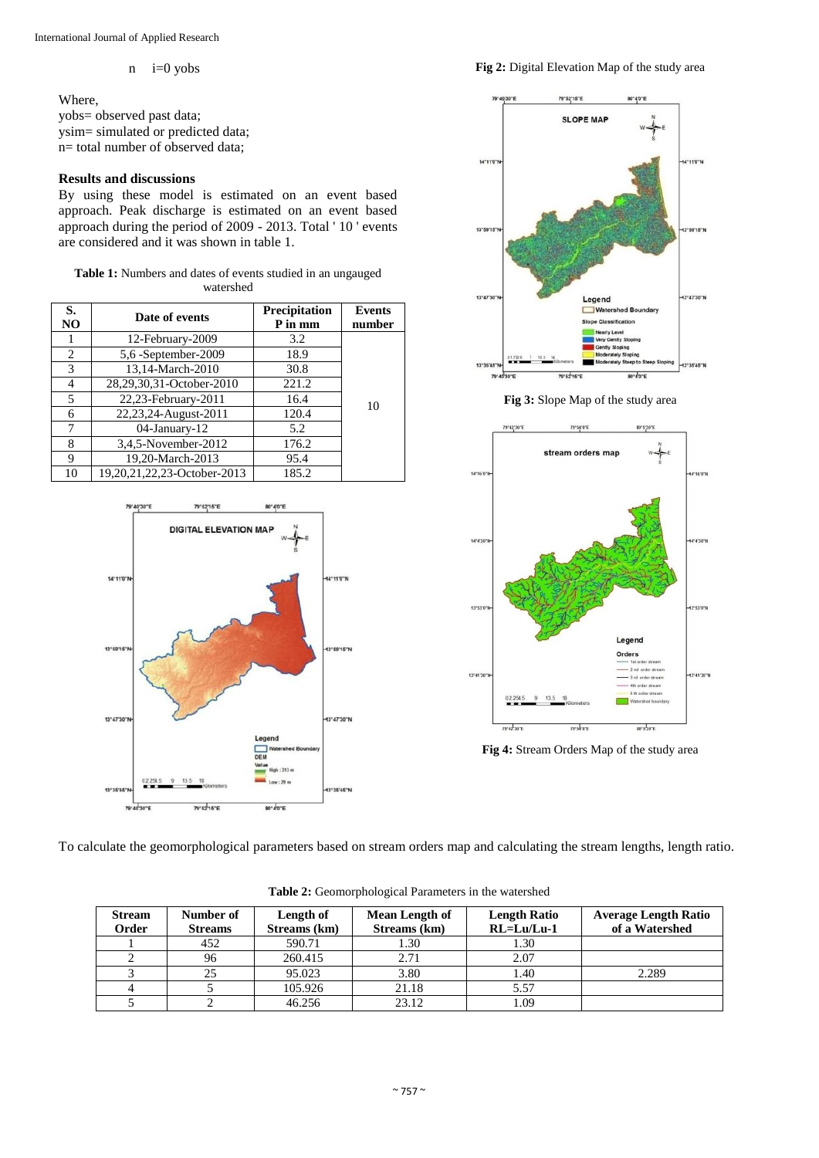#### n i=0 yobs

Where,

yobs= observed past data; ysim= simulated or predicted data; n= total number of observed data;

# **Results and discussions**

By using these model is estimated on an event based approach. Peak discharge is estimated on an event based approach during the period of 2009 - 2013. Total ' 10 ' events are considered and it was shown in table 1.

## **Table 1:** Numbers and dates of events studied in an ungauged watershed

| S.<br>NO | Date of events              | Precipitation<br>P in mm | <b>Events</b><br>number |
|----------|-----------------------------|--------------------------|-------------------------|
| 1        | 12-February-2009            | 3.2                      |                         |
| 2        | 5,6 -September-2009         | 18.9                     |                         |
| 3        | 13,14-March-2010            | 30.8                     |                         |
| 4        | 28,29,30,31-October-2010    | 221.2                    |                         |
| 5        | 22,23-February-2011         | 16.4                     | 10                      |
| 6        | 22,23,24-August-2011        | 120.4                    |                         |
| 7        | 04-January-12               | 5.2                      |                         |
| 8        | 3,4,5-November-2012         | 176.2                    |                         |
| 9        | 19,20-March-2013            | 95.4                     |                         |
| 10       | 19,20,21,22,23-October-2013 | 185.2                    |                         |



# **Fig 2:** Digital Elevation Map of the study area







**Fig 4:** Stream Orders Map of the study area

To calculate the geomorphological parameters based on stream orders map and calculating the stream lengths, length ratio.

| <b>Stream</b><br>Order | Number of<br><b>Streams</b> | Length of<br>Streams (km) | <b>Mean Length of</b><br>Streams (km) | <b>Length Ratio</b><br>$RL = Lu/Lu-1$ | <b>Average Length Ratio</b><br>of a Watershed |
|------------------------|-----------------------------|---------------------------|---------------------------------------|---------------------------------------|-----------------------------------------------|
|                        | 452                         | 590.71                    | .30                                   | 1.30                                  |                                               |
|                        | 96                          | 260.415                   | 2.71                                  | 2.07                                  |                                               |
|                        | 25                          | 95.023                    | 3.80                                  | 1.40                                  | 2.289                                         |
|                        |                             | 105.926                   | 21.18                                 | 5.57                                  |                                               |
|                        |                             | 46.256                    | 23.12                                 | 1.09                                  |                                               |

**Table 2:** Geomorphological Parameters in the watershed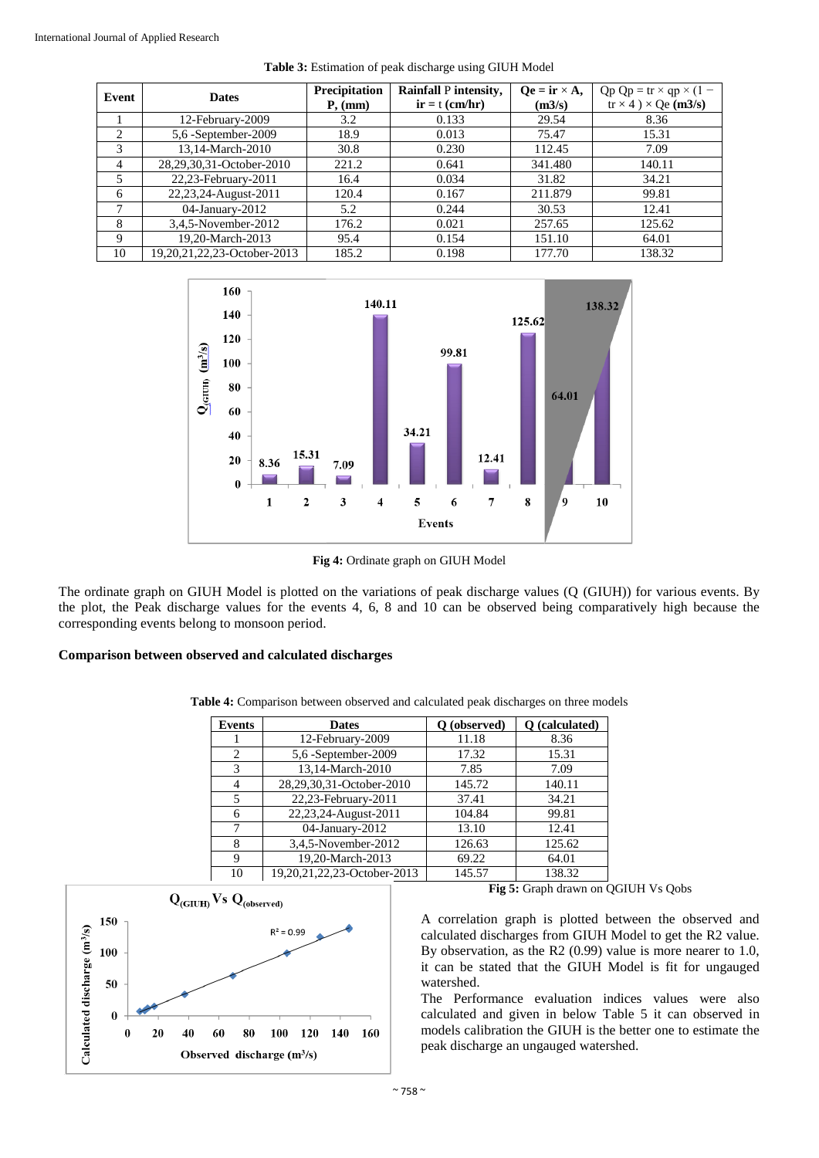| Event          | <b>Dates</b>                | Precipitation<br>P, (mm) | Rainfall P intensity,<br>$ir = t (cm/hr)$ | $\mathbf{O}\mathbf{e} = \mathbf{ir} \times \mathbf{A}$ ,<br>(m3/s) | $Qp Qp = tr \times qp \times (1 -$<br>$tr \times 4$ ) $\times$ Qe (m3/s) |
|----------------|-----------------------------|--------------------------|-------------------------------------------|--------------------------------------------------------------------|--------------------------------------------------------------------------|
|                | 12-February-2009            | 3.2                      | 0.133                                     | 29.54                                                              | 8.36                                                                     |
| 2              | 5,6 -September-2009         | 18.9                     | 0.013                                     | 75.47                                                              | 15.31                                                                    |
| 3              | 13.14-March-2010            | 30.8                     | 0.230                                     | 112.45                                                             | 7.09                                                                     |
| $\overline{4}$ | 28,29,30,31-October-2010    | 221.2                    | 0.641                                     | 341.480                                                            | 140.11                                                                   |
| 5              | 22,23-February-2011         | 16.4                     | 0.034                                     | 31.82                                                              | 34.21                                                                    |
| 6              | 22,23,24-August-2011        | 120.4                    | 0.167                                     | 211.879                                                            | 99.81                                                                    |
| π              | 04-January-2012             | 5.2                      | 0.244                                     | 30.53                                                              | 12.41                                                                    |
| 8              | 3,4,5-November-2012         | 176.2                    | 0.021                                     | 257.65                                                             | 125.62                                                                   |
| 9              | 19,20-March-2013            | 95.4                     | 0.154                                     | 151.10                                                             | 64.01                                                                    |
| 10             | 19,20,21,22,23-October-2013 | 185.2                    | 0.198                                     | 177.70                                                             | 138.32                                                                   |

**Table 3:** Estimation of peak discharge using GIUH Model



**Fig 4:** Ordinate graph on GIUH Model

The ordinate graph on GIUH Model is plotted on the variations of peak discharge values (Q (GIUH)) for various events. By the plot, the Peak discharge values for the events 4, 6, 8 and 10 can be observed being comparatively high because the corresponding events belong to monsoon period.

# **Comparison between observed and calculated discharges**

| <b>Events</b> | <b>Dates</b>                | O (observed) | O (calculated) |
|---------------|-----------------------------|--------------|----------------|
|               | 12-February-2009            | 11.18        | 8.36           |
| 2             | 5,6 -September-2009         | 17.32        | 15.31          |
| 3             | 13,14-March-2010            | 7.85         | 7.09           |
| 4             | 28,29,30,31-October-2010    | 145.72       | 140.11         |
| 5             | 22,23-February-2011         | 37.41        | 34.21          |
| 6             | 22,23,24-August-2011        | 104.84       | 99.81          |
| 7             | 04-January-2012             | 13.10        | 12.41          |
| 8             | 3,4,5-November-2012         | 126.63       | 125.62         |
| 9             | 19,20-March-2013            | 69.22        | 64.01          |
| 10            | 19,20,21,22,23-October-2013 | 145.57       | 138.32         |

**Table 4:** Comparison between observed and calculated peak discharges on three models



**Fig 5:** Graph drawn on QGIUH Vs Qobs

A correlation graph is plotted between the observed and calculated discharges from GIUH Model to get the R2 value. By observation, as the R2 (0.99) value is more nearer to 1.0, it can be stated that the GIUH Model is fit for ungauged watershed.

The Performance evaluation indices values were also calculated and given in below Table 5 it can observed in models calibration the GIUH is the better one to estimate the peak discharge an ungauged watershed.